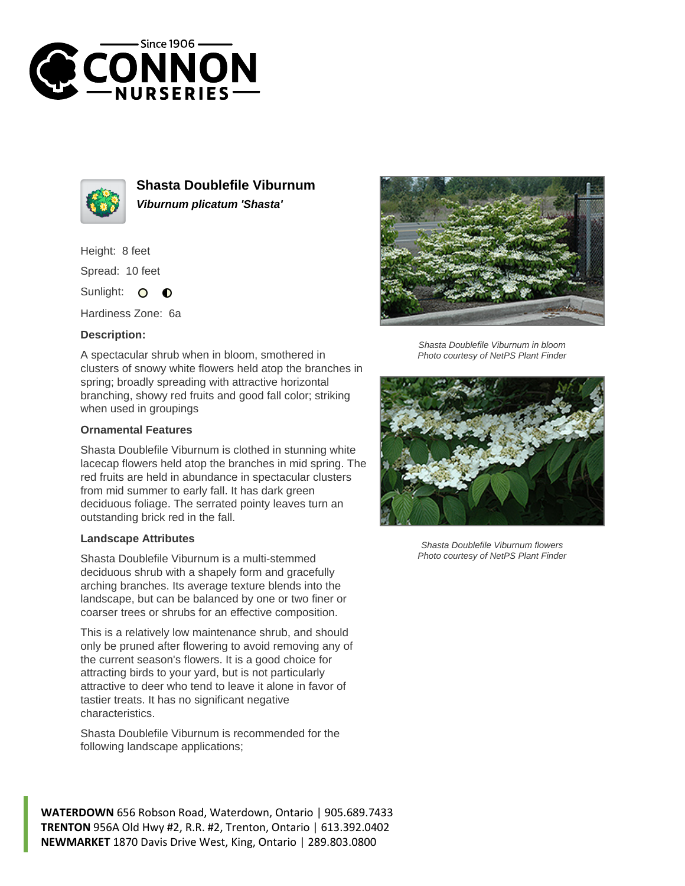



**Shasta Doublefile Viburnum Viburnum plicatum 'Shasta'**

Height: 8 feet Spread: 10 feet

Sunlight:  $\circ$  $\bullet$ 

Hardiness Zone: 6a

## **Description:**

A spectacular shrub when in bloom, smothered in clusters of snowy white flowers held atop the branches in spring; broadly spreading with attractive horizontal branching, showy red fruits and good fall color; striking when used in groupings

## **Ornamental Features**

Shasta Doublefile Viburnum is clothed in stunning white lacecap flowers held atop the branches in mid spring. The red fruits are held in abundance in spectacular clusters from mid summer to early fall. It has dark green deciduous foliage. The serrated pointy leaves turn an outstanding brick red in the fall.

## **Landscape Attributes**

Shasta Doublefile Viburnum is a multi-stemmed deciduous shrub with a shapely form and gracefully arching branches. Its average texture blends into the landscape, but can be balanced by one or two finer or coarser trees or shrubs for an effective composition.

This is a relatively low maintenance shrub, and should only be pruned after flowering to avoid removing any of the current season's flowers. It is a good choice for attracting birds to your yard, but is not particularly attractive to deer who tend to leave it alone in favor of tastier treats. It has no significant negative characteristics.

Shasta Doublefile Viburnum is recommended for the following landscape applications;





Shasta Doublefile Viburnum in bloom Photo courtesy of NetPS Plant Finder



Shasta Doublefile Viburnum flowers Photo courtesy of NetPS Plant Finder

**WATERDOWN** 656 Robson Road, Waterdown, Ontario | 905.689.7433 **TRENTON** 956A Old Hwy #2, R.R. #2, Trenton, Ontario | 613.392.0402 **NEWMARKET** 1870 Davis Drive West, King, Ontario | 289.803.0800